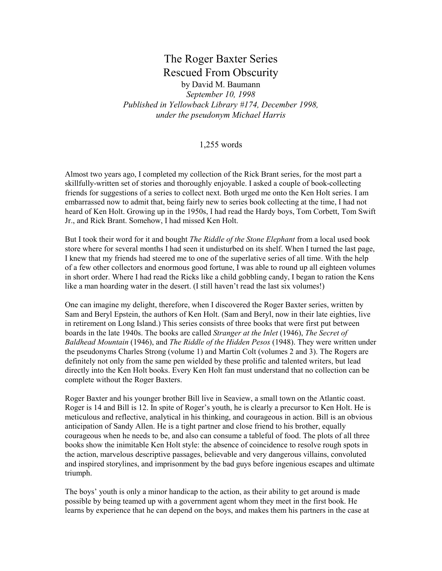## The Roger Baxter Series Rescued From Obscurity

by David M. Baumann

September 10, 1998 Published in Yellowback Library #174, December 1998, under the pseudonym Michael Harris

1,255 words

Almost two years ago, I completed my collection of the Rick Brant series, for the most part a skillfully-written set of stories and thoroughly enjoyable. I asked a couple of book-collecting friends for suggestions of a series to collect next. Both urged me onto the Ken Holt series. I am embarrassed now to admit that, being fairly new to series book collecting at the time, I had not heard of Ken Holt. Growing up in the 1950s, I had read the Hardy boys, Tom Corbett, Tom Swift Jr., and Rick Brant. Somehow, I had missed Ken Holt.

But I took their word for it and bought *The Riddle of the Stone Elephant* from a local used book store where for several months I had seen it undisturbed on its shelf. When I turned the last page, I knew that my friends had steered me to one of the superlative series of all time. With the help of a few other collectors and enormous good fortune, I was able to round up all eighteen volumes in short order. Where I had read the Ricks like a child gobbling candy, I began to ration the Kens like a man hoarding water in the desert. (I still haven't read the last six volumes!)

One can imagine my delight, therefore, when I discovered the Roger Baxter series, written by Sam and Beryl Epstein, the authors of Ken Holt. (Sam and Beryl, now in their late eighties, live in retirement on Long Island.) This series consists of three books that were first put between boards in the late 1940s. The books are called Stranger at the Inlet (1946), The Secret of Baldhead Mountain (1946), and The Riddle of the Hidden Pesos (1948). They were written under the pseudonyms Charles Strong (volume 1) and Martin Colt (volumes 2 and 3). The Rogers are definitely not only from the same pen wielded by these prolific and talented writers, but lead directly into the Ken Holt books. Every Ken Holt fan must understand that no collection can be complete without the Roger Baxters.

Roger Baxter and his younger brother Bill live in Seaview, a small town on the Atlantic coast. Roger is 14 and Bill is 12. In spite of Roger's youth, he is clearly a precursor to Ken Holt. He is meticulous and reflective, analytical in his thinking, and courageous in action. Bill is an obvious anticipation of Sandy Allen. He is a tight partner and close friend to his brother, equally courageous when he needs to be, and also can consume a tableful of food. The plots of all three books show the inimitable Ken Holt style: the absence of coincidence to resolve rough spots in the action, marvelous descriptive passages, believable and very dangerous villains, convoluted and inspired storylines, and imprisonment by the bad guys before ingenious escapes and ultimate triumph.

The boys' youth is only a minor handicap to the action, as their ability to get around is made possible by being teamed up with a government agent whom they meet in the first book. He learns by experience that he can depend on the boys, and makes them his partners in the case at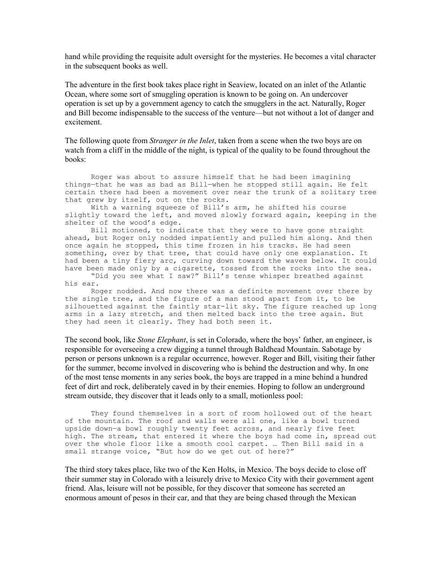hand while providing the requisite adult oversight for the mysteries. He becomes a vital character in the subsequent books as well.

The adventure in the first book takes place right in Seaview, located on an inlet of the Atlantic Ocean, where some sort of smuggling operation is known to be going on. An undercover operation is set up by a government agency to catch the smugglers in the act. Naturally, Roger and Bill become indispensable to the success of the venture—but not without a lot of danger and excitement.

The following quote from *Stranger in the Inlet*, taken from a scene when the two boys are on watch from a cliff in the middle of the night, is typical of the quality to be found throughout the books:

 Roger was about to assure himself that he had been imagining things—that he was as bad as Bill—when he stopped still again. He felt certain there had been a movement over near the trunk of a solitary tree that grew by itself, out on the rocks.

 With a warning squeeze of Bill's arm, he shifted his course slightly toward the left, and moved slowly forward again, keeping in the shelter of the wood's edge.

 Bill motioned, to indicate that they were to have gone straight ahead, but Roger only nodded impatiently and pulled him along. And then once again he stopped, this time frozen in his tracks. He had seen something, over by that tree, that could have only one explanation. It had been a tiny fiery arc, curving down toward the waves below. It could have been made only by a cigarette, tossed from the rocks into the sea.

 "Did you see what I saw?" Bill's tense whisper breathed against his ear.

 Roger nodded. And now there was a definite movement over there by the single tree, and the figure of a man stood apart from it, to be silhouetted against the faintly star-lit sky. The figure reached up long arms in a lazy stretch, and then melted back into the tree again. But they had seen it clearly. They had both seen it.

The second book, like Stone Elephant, is set in Colorado, where the boys' father, an engineer, is responsible for overseeing a crew digging a tunnel through Baldhead Mountain. Sabotage by person or persons unknown is a regular occurrence, however. Roger and Bill, visiting their father for the summer, become involved in discovering who is behind the destruction and why. In one of the most tense moments in any series book, the boys are trapped in a mine behind a hundred feet of dirt and rock, deliberately caved in by their enemies. Hoping to follow an underground stream outside, they discover that it leads only to a small, motionless pool:

 They found themselves in a sort of room hollowed out of the heart of the mountain. The roof and walls were all one, like a bowl turned upside down—a bowl roughly twenty feet across, and nearly five feet high. The stream, that entered it where the boys had come in, spread out over the whole floor like a smooth cool carpet. … Then Bill said in a small strange voice, "But how do we get out of here?"

The third story takes place, like two of the Ken Holts, in Mexico. The boys decide to close off their summer stay in Colorado with a leisurely drive to Mexico City with their government agent friend. Alas, leisure will not be possible, for they discover that someone has secreted an enormous amount of pesos in their car, and that they are being chased through the Mexican